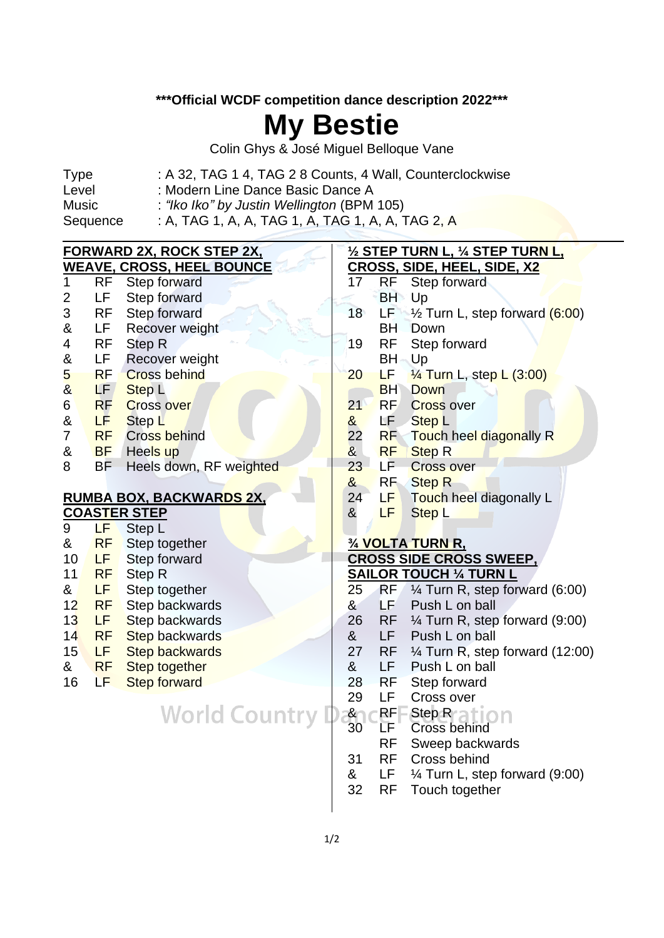#### **\*\*\*Official WCDF competition dance description 2022\*\*\***

## **My Bestie**

Colin Ghys & José Miguel Belloque Vane

| Sequence     | : A, TAG 1, A, A, TAG 1, A, TAG 1, A, A, TAG 2, A         |
|--------------|-----------------------------------------------------------|
| <b>Music</b> | : "Iko Iko" by Justin Wellington (BPM 105)                |
| Level        | : Modern Line Dance Basic Dance A                         |
| Type         | : A 32, TAG 1 4, TAG 2 8 Counts, 4 Wall, Counterclockwise |

| <b>FORWARD 2X, ROCK STEP 2X,</b> |           |                                 | <u>½ STEP TURN L, ¼ STEP TURN L,</u> |           |                                             |
|----------------------------------|-----------|---------------------------------|--------------------------------------|-----------|---------------------------------------------|
| <b>WEAVE, CROSS, HEEL BOUNCE</b> |           |                                 |                                      |           | CROSS, SIDE, HEEL, SIDE, X2                 |
| $\mathbf{1}$                     | <b>RF</b> | Step forward                    | 17                                   | RF        | Step forward                                |
| $\overline{2}$                   | LF        | Step forward                    |                                      | <b>BH</b> | Up                                          |
| 3                                | <b>RF</b> | Step forward                    | 18                                   | LF.       | 1/ <sub>2</sub> Turn L, step forward (6:00) |
| &                                | LF.       | Recover weight                  |                                      | <b>BH</b> | Down                                        |
| $\overline{\mathcal{A}}$         | <b>RF</b> | <b>Step R</b>                   | 19                                   | <b>RF</b> | Step forward                                |
| &                                | LF.       | <b>Recover weight</b>           |                                      | <b>BH</b> | Up                                          |
| $\overline{\mathbf{5}}$          | <b>RF</b> | <b>Cross behind</b>             | 20                                   | ĿЕ        | $\frac{1}{4}$ Turn L, step L $(3:00)$       |
| $\overline{\mathbf{8}}$          | LF/       | <b>Step L</b>                   |                                      | <b>BH</b> | <b>Down</b>                                 |
| 6                                | <b>RF</b> | <b>Cross over</b>               | 21                                   | <b>RF</b> | <b>Cross over</b>                           |
| $\&$                             | LF.       | Step L                          | &                                    | LF.       | <b>Step L</b>                               |
| $\overline{7}$                   | <b>RF</b> | <b>Cross behind</b>             | 22                                   | <b>RF</b> | <b>Touch heel diagonally R</b>              |
| &                                | <b>BF</b> | Heels up                        | $\mathbf{8}$                         | <b>RF</b> | <b>Step R</b>                               |
| 8                                | <b>BF</b> | Heels down, RF weighted         | 23                                   | LF.       | <b>Cross over</b>                           |
|                                  |           |                                 | &                                    | <b>RF</b> | <b>Step R</b>                               |
|                                  |           | <u>RUMBA BOX, BACKWARDS 2X,</u> | 24                                   | LF        | Touch heel diagonally L                     |
|                                  |           | <b>COASTER STEP</b>             | &                                    | LF        | <b>Step L</b>                               |
|                                  |           |                                 |                                      |           |                                             |
| 9                                | LF        | Step L                          |                                      |           |                                             |
| &                                | <b>RF</b> | Step together                   |                                      |           | 3/4 VOLTA TURN R.                           |
| 10                               | <b>LF</b> | Step forward                    |                                      |           | <b>CROSS SIDE CROSS SWEEP,</b>              |
| 11                               | <b>RF</b> | Step R                          |                                      |           | <b>SAILOR TOUCH 1/4 TURN L</b>              |
| &                                | <b>LF</b> | Step together                   | 25                                   | <b>RF</b> | $\frac{1}{4}$ Turn R, step forward (6:00)   |
| 12                               | <b>RF</b> | Step backwards                  | $\alpha$                             | LF        | Push L on ball                              |
| 13                               | LF        | Step backwards                  | 26                                   | <b>RF</b> | $\frac{1}{4}$ Turn R, step forward (9:00)   |
| 14                               | <b>RF</b> | <b>Step backwards</b>           | &                                    | LF        | Push L on ball                              |
| 15                               | LF.       | <b>Step backwards</b>           | 27                                   | <b>RF</b> | $\frac{1}{4}$ Turn R, step forward (12:00)  |
| &                                | <b>RF</b> | Step together                   | &                                    | LF.       | Push L on ball                              |
| 16                               | LF.       | <b>Step forward</b>             | 28                                   | <b>RF</b> | Step forward                                |
|                                  |           |                                 | 29                                   | LF        | Cross over                                  |
|                                  |           |                                 |                                      | <b>RF</b> | Step R <sub>ati</sub>                       |
|                                  |           | <b>World Country D</b>          | &<br>30                              | LF.       | Cross behind                                |
|                                  |           |                                 |                                      | <b>RF</b> | Sweep backwards                             |
|                                  |           |                                 | 31                                   | <b>RF</b> | Cross behind                                |
|                                  |           |                                 | &                                    | LF.       | $\frac{1}{4}$ Turn L, step forward (9:00)   |
|                                  |           |                                 | 32                                   | <b>RF</b> | Touch together                              |